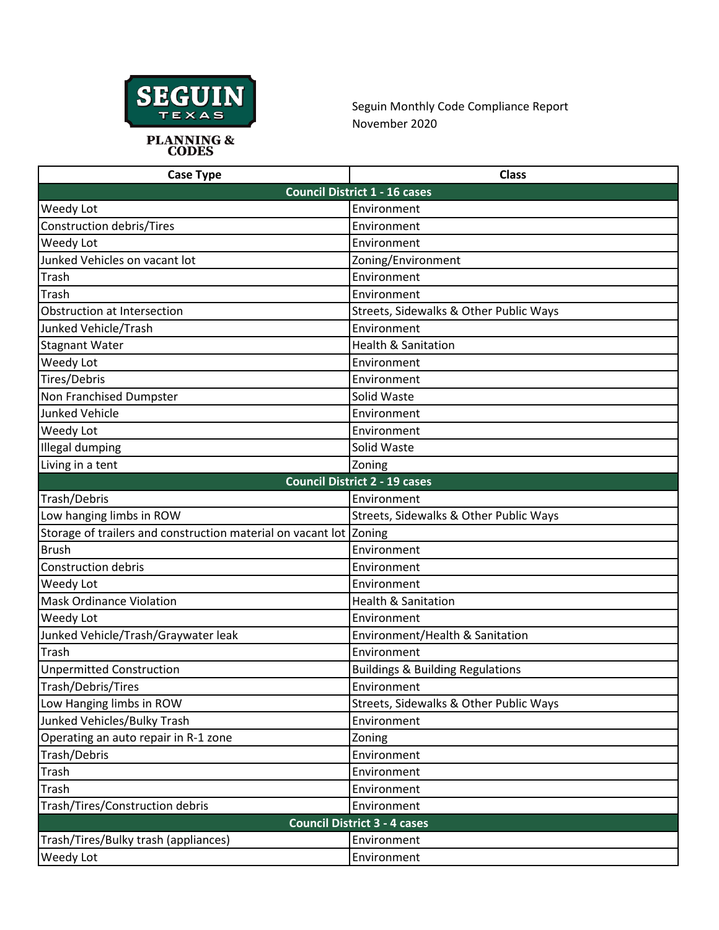

Seguin Monthly Code Compliance Report November 2020

| <b>Case Type</b>                                                   | <b>Class</b>                                |  |
|--------------------------------------------------------------------|---------------------------------------------|--|
| <b>Council District 1 - 16 cases</b>                               |                                             |  |
| <b>Weedy Lot</b>                                                   | Environment                                 |  |
| <b>Construction debris/Tires</b>                                   | Environment                                 |  |
| Weedy Lot                                                          | Environment                                 |  |
| Junked Vehicles on vacant lot                                      | Zoning/Environment                          |  |
| Trash                                                              | Environment                                 |  |
| Trash                                                              | Environment                                 |  |
| Obstruction at Intersection                                        | Streets, Sidewalks & Other Public Ways      |  |
| Junked Vehicle/Trash                                               | Environment                                 |  |
| <b>Stagnant Water</b>                                              | <b>Health &amp; Sanitation</b>              |  |
| Weedy Lot                                                          | Environment                                 |  |
| Tires/Debris                                                       | Environment                                 |  |
| Non Franchised Dumpster                                            | Solid Waste                                 |  |
| <b>Junked Vehicle</b>                                              | Environment                                 |  |
| Weedy Lot                                                          | Environment                                 |  |
| <b>Illegal dumping</b>                                             | Solid Waste                                 |  |
| Living in a tent                                                   | Zoning                                      |  |
| <b>Council District 2 - 19 cases</b>                               |                                             |  |
| Trash/Debris                                                       | Environment                                 |  |
| Low hanging limbs in ROW                                           | Streets, Sidewalks & Other Public Ways      |  |
| Storage of trailers and construction material on vacant lot Zoning |                                             |  |
| <b>Brush</b>                                                       | Environment                                 |  |
| <b>Construction debris</b>                                         | Environment                                 |  |
| Weedy Lot                                                          | Environment                                 |  |
| <b>Mask Ordinance Violation</b>                                    | <b>Health &amp; Sanitation</b>              |  |
| Weedy Lot                                                          | Environment                                 |  |
| Junked Vehicle/Trash/Graywater leak                                | Environment/Health & Sanitation             |  |
| Trash                                                              | Environment                                 |  |
| <b>Unpermitted Construction</b>                                    | <b>Buildings &amp; Building Regulations</b> |  |
| Trash/Debris/Tires                                                 | Environment                                 |  |
| Low Hanging limbs in ROW                                           | Streets, Sidewalks & Other Public Ways      |  |
| Junked Vehicles/Bulky Trash                                        | Environment                                 |  |
| Operating an auto repair in R-1 zone                               | Zoning                                      |  |
| Trash/Debris                                                       | Environment                                 |  |
| Trash                                                              | Environment                                 |  |
| Trash                                                              | Environment                                 |  |
| Trash/Tires/Construction debris                                    | Environment                                 |  |
| <b>Council District 3 - 4 cases</b>                                |                                             |  |
| Trash/Tires/Bulky trash (appliances)                               | Environment                                 |  |
| Weedy Lot                                                          | Environment                                 |  |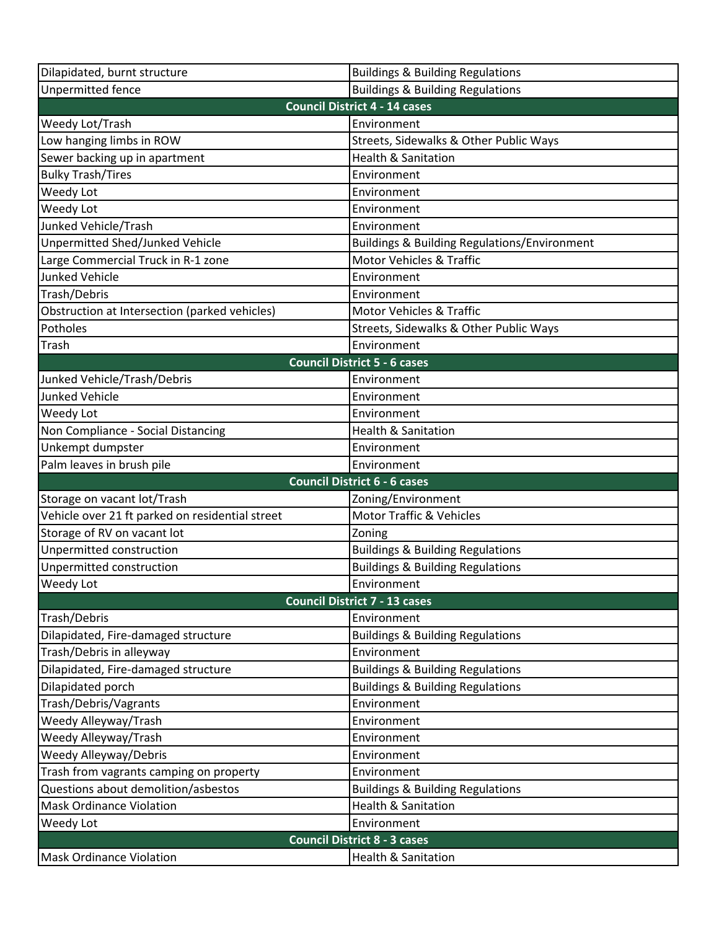| Dilapidated, burnt structure                    | <b>Buildings &amp; Building Regulations</b>             |  |
|-------------------------------------------------|---------------------------------------------------------|--|
| Unpermitted fence                               | <b>Buildings &amp; Building Regulations</b>             |  |
|                                                 | <b>Council District 4 - 14 cases</b>                    |  |
| Weedy Lot/Trash                                 | Environment                                             |  |
| Low hanging limbs in ROW                        | Streets, Sidewalks & Other Public Ways                  |  |
| Sewer backing up in apartment                   | <b>Health &amp; Sanitation</b>                          |  |
| <b>Bulky Trash/Tires</b>                        | Environment                                             |  |
| Weedy Lot                                       | Environment                                             |  |
| Weedy Lot                                       | Environment                                             |  |
| Junked Vehicle/Trash                            | Environment                                             |  |
| Unpermitted Shed/Junked Vehicle                 | <b>Buildings &amp; Building Regulations/Environment</b> |  |
| Large Commercial Truck in R-1 zone              | <b>Motor Vehicles &amp; Traffic</b>                     |  |
| <b>Junked Vehicle</b>                           | Environment                                             |  |
| Trash/Debris                                    | Environment                                             |  |
| Obstruction at Intersection (parked vehicles)   | <b>Motor Vehicles &amp; Traffic</b>                     |  |
| Potholes                                        | Streets, Sidewalks & Other Public Ways                  |  |
| Trash                                           | Environment                                             |  |
|                                                 | <b>Council District 5 - 6 cases</b>                     |  |
| Junked Vehicle/Trash/Debris                     | Environment                                             |  |
| <b>Junked Vehicle</b>                           | Environment                                             |  |
| Weedy Lot                                       | Environment                                             |  |
| Non Compliance - Social Distancing              | <b>Health &amp; Sanitation</b>                          |  |
| Unkempt dumpster                                | Environment                                             |  |
| Palm leaves in brush pile                       | Environment                                             |  |
| <b>Council District 6 - 6 cases</b>             |                                                         |  |
| Storage on vacant lot/Trash                     | Zoning/Environment                                      |  |
| Vehicle over 21 ft parked on residential street | <b>Motor Traffic &amp; Vehicles</b>                     |  |
| Storage of RV on vacant lot                     | Zoning                                                  |  |
| Unpermitted construction                        | <b>Buildings &amp; Building Regulations</b>             |  |
| Unpermitted construction                        | <b>Buildings &amp; Building Regulations</b>             |  |
| Weedy Lot                                       | Environment                                             |  |
| <b>Council District 7 - 13 cases</b>            |                                                         |  |
| Trash/Debris                                    | Environment                                             |  |
| Dilapidated, Fire-damaged structure             | <b>Buildings &amp; Building Regulations</b>             |  |
| Trash/Debris in alleyway                        | Environment                                             |  |
| Dilapidated, Fire-damaged structure             | <b>Buildings &amp; Building Regulations</b>             |  |
| Dilapidated porch                               | <b>Buildings &amp; Building Regulations</b>             |  |
| Trash/Debris/Vagrants                           | Environment                                             |  |
| Weedy Alleyway/Trash                            | Environment                                             |  |
| Weedy Alleyway/Trash                            | Environment                                             |  |
| Weedy Alleyway/Debris                           | Environment                                             |  |
| Trash from vagrants camping on property         | Environment                                             |  |
| Questions about demolition/asbestos             | <b>Buildings &amp; Building Regulations</b>             |  |
| <b>Mask Ordinance Violation</b>                 | <b>Health &amp; Sanitation</b>                          |  |
| Weedy Lot                                       | Environment                                             |  |
| <b>Council District 8 - 3 cases</b>             |                                                         |  |
| <b>Mask Ordinance Violation</b>                 | <b>Health &amp; Sanitation</b>                          |  |